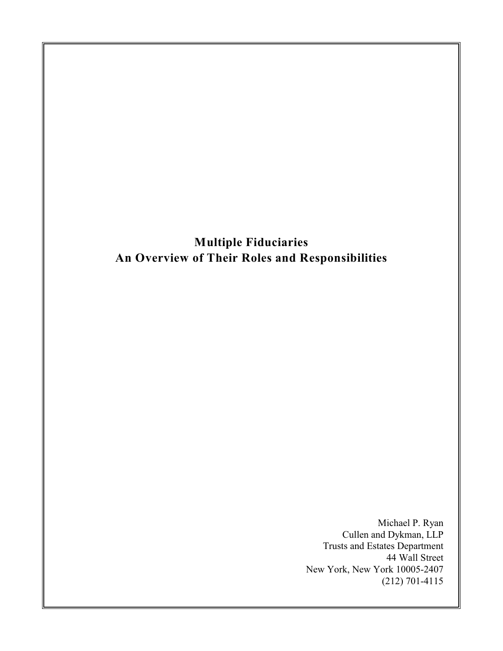**Multiple Fiduciaries An Overview of Their Roles and Responsibilities**

> Michael P. Ryan Cullen and Dykman, LLP Trusts and Estates Department 44 Wall Street New York, New York 10005-2407 (212) 701-4115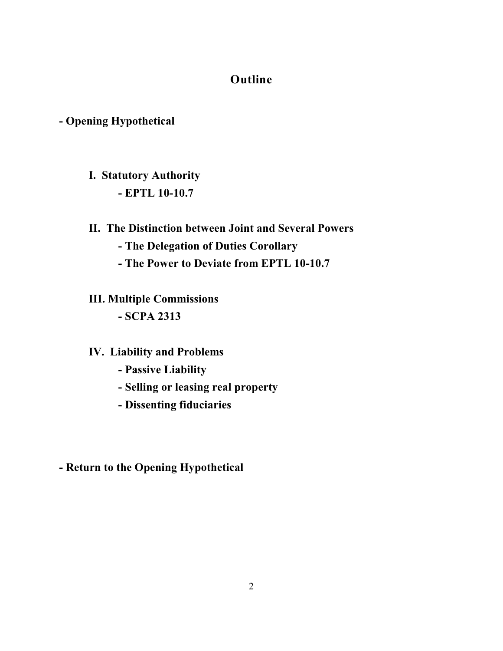# **Outline**

# **- Opening Hypothetical**

- **I. Statutory Authority - EPTL 10-10.7**
- **II. The Distinction between Joint and Several Powers**
	- **The Delegation of Duties Corollary**
	- **The Power to Deviate from EPTL 10-10.7**
- **III. Multiple Commissions - SCPA 2313**

# **IV. Liability and Problems**

- **Passive Liability**
- **Selling or leasing real property**
- **Dissenting fiduciaries**

**- Return to the Opening Hypothetical**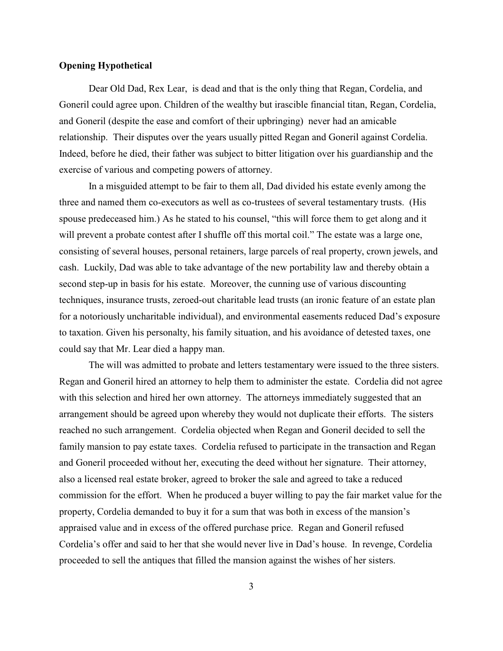## **Opening Hypothetical**

Dear Old Dad, Rex Lear, is dead and that is the only thing that Regan, Cordelia, and Goneril could agree upon. Children of the wealthy but irascible financial titan, Regan, Cordelia, and Goneril (despite the ease and comfort of their upbringing) never had an amicable relationship. Their disputes over the years usually pitted Regan and Goneril against Cordelia. Indeed, before he died, their father was subject to bitter litigation over his guardianship and the exercise of various and competing powers of attorney.

In a misguided attempt to be fair to them all, Dad divided his estate evenly among the three and named them co-executors as well as co-trustees of several testamentary trusts. (His spouse predeceased him.) As he stated to his counsel, "this will force them to get along and it will prevent a probate contest after I shuffle off this mortal coil." The estate was a large one, consisting of several houses, personal retainers, large parcels of real property, crown jewels, and cash. Luckily, Dad was able to take advantage of the new portability law and thereby obtain a second step-up in basis for his estate. Moreover, the cunning use of various discounting techniques, insurance trusts, zeroed-out charitable lead trusts (an ironic feature of an estate plan for a notoriously uncharitable individual), and environmental easements reduced Dad's exposure to taxation. Given his personalty, his family situation, and his avoidance of detested taxes, one could say that Mr. Lear died a happy man.

The will was admitted to probate and letters testamentary were issued to the three sisters. Regan and Goneril hired an attorney to help them to administer the estate. Cordelia did not agree with this selection and hired her own attorney. The attorneys immediately suggested that an arrangement should be agreed upon whereby they would not duplicate their efforts. The sisters reached no such arrangement. Cordelia objected when Regan and Goneril decided to sell the family mansion to pay estate taxes. Cordelia refused to participate in the transaction and Regan and Goneril proceeded without her, executing the deed without her signature. Their attorney, also a licensed real estate broker, agreed to broker the sale and agreed to take a reduced commission for the effort. When he produced a buyer willing to pay the fair market value for the property, Cordelia demanded to buy it for a sum that was both in excess of the mansion's appraised value and in excess of the offered purchase price. Regan and Goneril refused Cordelia's offer and said to her that she would never live in Dad's house. In revenge, Cordelia proceeded to sell the antiques that filled the mansion against the wishes of her sisters.

3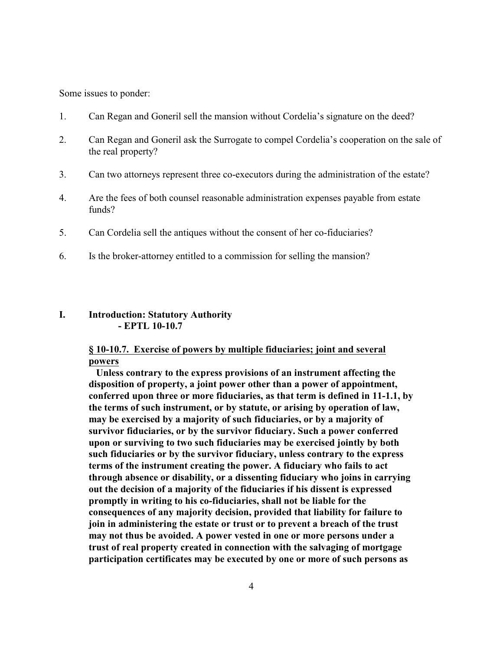Some issues to ponder:

- 1. Can Regan and Goneril sell the mansion without Cordelia's signature on the deed?
- 2. Can Regan and Goneril ask the Surrogate to compel Cordelia's cooperation on the sale of the real property?
- 3. Can two attorneys represent three co-executors during the administration of the estate?
- 4. Are the fees of both counsel reasonable administration expenses payable from estate funds?
- 5. Can Cordelia sell the antiques without the consent of her co-fiduciaries?
- 6. Is the broker-attorney entitled to a commission for selling the mansion?

## **I. Introduction: Statutory Authority - EPTL 10-10.7**

## **§ 10-10.7. Exercise of powers by multiple fiduciaries; joint and several powers**

 **Unless contrary to the express provisions of an instrument affecting the disposition of property, a joint power other than a power of appointment, conferred upon three or more fiduciaries, as that term is defined in 11-1.1, by the terms of such instrument, or by statute, or arising by operation of law, may be exercised by a majority of such fiduciaries, or by a majority of survivor fiduciaries, or by the survivor fiduciary. Such a power conferred upon or surviving to two such fiduciaries may be exercised jointly by both such fiduciaries or by the survivor fiduciary, unless contrary to the express terms of the instrument creating the power. A fiduciary who fails to act through absence or disability, or a dissenting fiduciary who joins in carrying out the decision of a majority of the fiduciaries if his dissent is expressed promptly in writing to his co-fiduciaries, shall not be liable for the consequences of any majority decision, provided that liability for failure to join in administering the estate or trust or to prevent a breach of the trust may not thus be avoided. A power vested in one or more persons under a trust of real property created in connection with the salvaging of mortgage participation certificates may be executed by one or more of such persons as**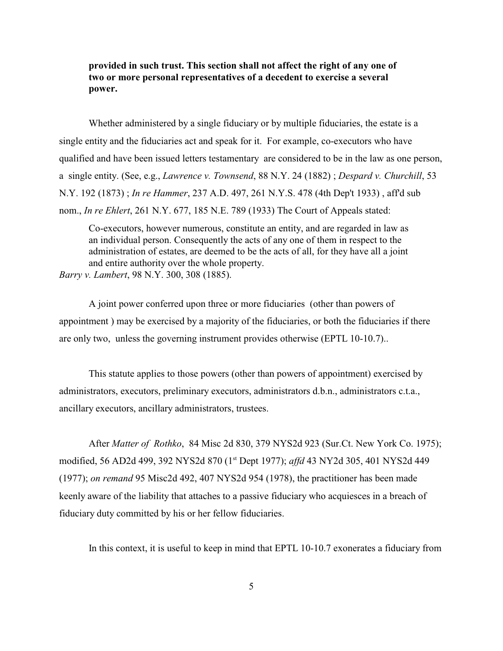# **provided in such trust. This section shall not affect the right of any one of two or more personal representatives of a decedent to exercise a several power.**

Whether administered by a single fiduciary or by multiple fiduciaries, the estate is a single entity and the fiduciaries act and speak for it. For example, co-executors who have qualified and have been issued letters testamentary are considered to be in the law as one person, a single entity. (See, e.g., *Lawrence v. Townsend*, 88 N.Y. 24 (1882) ; *Despard v. Churchill*, 53 N.Y. 192 (1873) ; *In re Hammer*, 237 A.D. 497, 261 N.Y.S. 478 (4th Dep't 1933) , aff'd sub nom., *In re Ehlert*, 261 N.Y. 677, 185 N.E. 789 (1933) The Court of Appeals stated:

Co-executors, however numerous, constitute an entity, and are regarded in law as an individual person. Consequently the acts of any one of them in respect to the administration of estates, are deemed to be the acts of all, for they have all a joint and entire authority over the whole property.

*Barry v. Lambert*, 98 N.Y. 300, 308 (1885).

A joint power conferred upon three or more fiduciaries (other than powers of appointment ) may be exercised by a majority of the fiduciaries, or both the fiduciaries if there are only two, unless the governing instrument provides otherwise (EPTL 10-10.7)..

This statute applies to those powers (other than powers of appointment) exercised by administrators, executors, preliminary executors, administrators d.b.n., administrators c.t.a., ancillary executors, ancillary administrators, trustees.

After *Matter of Rothko*, 84 Misc 2d 830, 379 NYS2d 923 (Sur.Ct. New York Co. 1975); modified, 56 AD2d 499, 392 NYS2d 870 (1<sup>st</sup> Dept 1977); *affd* 43 NY2d 305, 401 NYS2d 449 (1977); *on remand* 95 Misc2d 492, 407 NYS2d 954 (1978), the practitioner has been made keenly aware of the liability that attaches to a passive fiduciary who acquiesces in a breach of fiduciary duty committed by his or her fellow fiduciaries.

In this context, it is useful to keep in mind that EPTL 10-10.7 exonerates a fiduciary from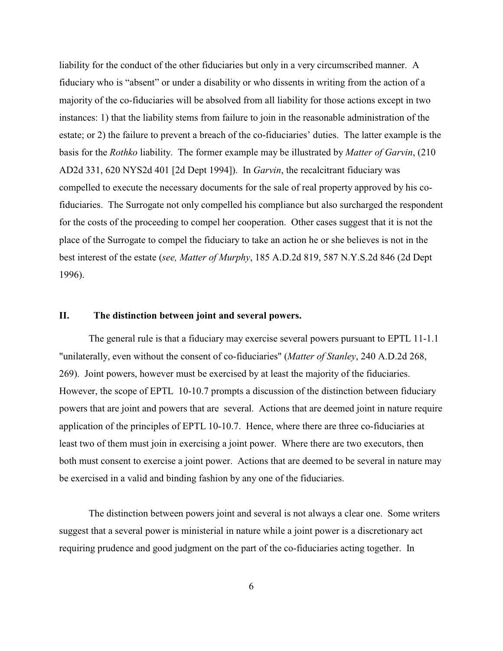liability for the conduct of the other fiduciaries but only in a very circumscribed manner. A fiduciary who is "absent" or under a disability or who dissents in writing from the action of a majority of the co-fiduciaries will be absolved from all liability for those actions except in two instances: 1) that the liability stems from failure to join in the reasonable administration of the estate; or 2) the failure to prevent a breach of the co-fiduciaries' duties. The latter example is the basis for the *Rothko* liability. The former example may be illustrated by *Matter of Garvin*, (210 AD2d 331, 620 NYS2d 401 [2d Dept 1994]). In *Garvin*, the recalcitrant fiduciary was compelled to execute the necessary documents for the sale of real property approved by his cofiduciaries. The Surrogate not only compelled his compliance but also surcharged the respondent for the costs of the proceeding to compel her cooperation. Other cases suggest that it is not the place of the Surrogate to compel the fiduciary to take an action he or she believes is not in the best interest of the estate (*see, Matter of Murphy*, 185 A.D.2d 819, 587 N.Y.S.2d 846 (2d Dept 1996).

### **II. The distinction between joint and several powers.**

The general rule is that a fiduciary may exercise several powers pursuant to EPTL 11-1.1 "unilaterally, even without the consent of co-fiduciaries" (*Matter of Stanley*, 240 A.D.2d 268, 269). Joint powers, however must be exercised by at least the majority of the fiduciaries. However, the scope of EPTL 10-10.7 prompts a discussion of the distinction between fiduciary powers that are joint and powers that are several. Actions that are deemed joint in nature require application of the principles of EPTL 10-10.7. Hence, where there are three co-fiduciaries at least two of them must join in exercising a joint power. Where there are two executors, then both must consent to exercise a joint power. Actions that are deemed to be several in nature may be exercised in a valid and binding fashion by any one of the fiduciaries.

The distinction between powers joint and several is not always a clear one. Some writers suggest that a several power is ministerial in nature while a joint power is a discretionary act requiring prudence and good judgment on the part of the co-fiduciaries acting together. In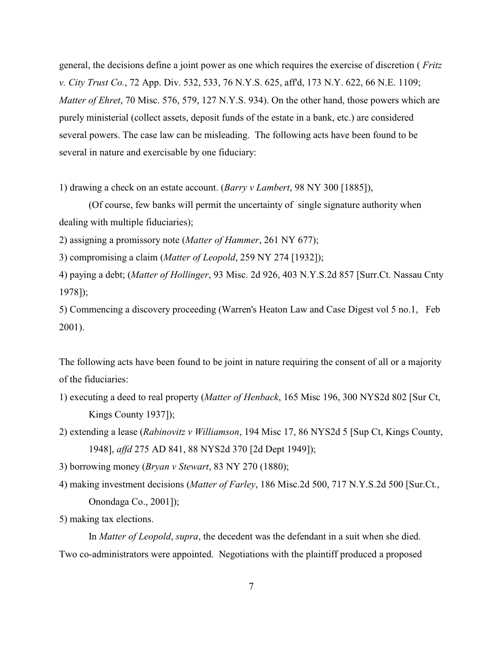general, the decisions define a joint power as one which requires the exercise of discretion ( *Fritz v. City Trust Co.*, 72 App. Div. 532, 533, 76 N.Y.S. 625, aff'd, 173 N.Y. 622, 66 N.E. 1109; *Matter of Ehret*, 70 Misc. 576, 579, 127 N.Y.S. 934). On the other hand, those powers which are purely ministerial (collect assets, deposit funds of the estate in a bank, etc.) are considered several powers. The case law can be misleading. The following acts have been found to be several in nature and exercisable by one fiduciary:

1) drawing a check on an estate account. (*Barry v Lambert*, 98 NY 300 [1885]),

(Of course, few banks will permit the uncertainty of single signature authority when dealing with multiple fiduciaries);

2) assigning a promissory note (*Matter of Hammer*, 261 NY 677);

3) compromising a claim (*Matter of Leopold*, 259 NY 274 [1932]);

4) paying a debt; (*Matter of Hollinger*, 93 Misc. 2d 926, 403 N.Y.S.2d 857 [Surr.Ct. Nassau Cnty 1978]);

5) Commencing a discovery proceeding (Warren's Heaton Law and Case Digest vol 5 no.1, Feb 2001).

The following acts have been found to be joint in nature requiring the consent of all or a majority of the fiduciaries:

- 1) executing a deed to real property (*Matter of Henback*, 165 Misc 196, 300 NYS2d 802 [Sur Ct, Kings County 1937]);
- 2) extending a lease (*Rabinovitz v Williamson*, 194 Misc 17, 86 NYS2d 5 [Sup Ct, Kings County, 1948], *affd* 275 AD 841, 88 NYS2d 370 [2d Dept 1949]);

3) borrowing money (*Bryan v Stewart*, 83 NY 270 (1880);

- 4) making investment decisions (*Matter of Farley*, 186 Misc.2d 500, 717 N.Y.S.2d 500 [Sur.Ct., Onondaga Co., 2001]);
- 5) making tax elections.

In *Matter of Leopold*, *supra*, the decedent was the defendant in a suit when she died. Two co-administrators were appointed. Negotiations with the plaintiff produced a proposed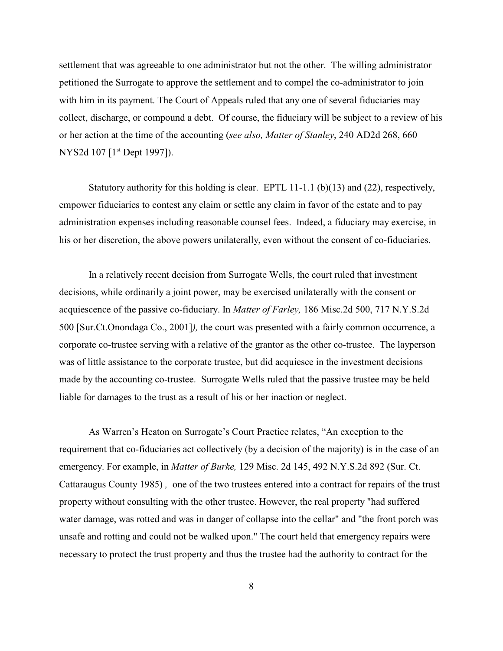settlement that was agreeable to one administrator but not the other. The willing administrator petitioned the Surrogate to approve the settlement and to compel the co-administrator to join with him in its payment. The Court of Appeals ruled that any one of several fiduciaries may collect, discharge, or compound a debt. Of course, the fiduciary will be subject to a review of his or her action at the time of the accounting (*see also, Matter of Stanley*, 240 AD2d 268, 660 NYS2d 107 [1<sup>st</sup> Dept 1997]).

Statutory authority for this holding is clear. EPTL 11-1.1 (b)(13) and (22), respectively, empower fiduciaries to contest any claim or settle any claim in favor of the estate and to pay administration expenses including reasonable counsel fees. Indeed, a fiduciary may exercise, in his or her discretion, the above powers unilaterally, even without the consent of co-fiduciaries.

In a relatively recent decision from Surrogate Wells, the court ruled that investment decisions, while ordinarily a joint power, may be exercised unilaterally with the consent or acquiescence of the passive co-fiduciary. In *Matter of Farley,* 186 Misc.2d 500, 717 N.Y.S.2d 500 [Sur.Ct.Onondaga Co., 2001]*),* the court was presented with a fairly common occurrence, a corporate co-trustee serving with a relative of the grantor as the other co-trustee. The layperson was of little assistance to the corporate trustee, but did acquiesce in the investment decisions made by the accounting co-trustee. Surrogate Wells ruled that the passive trustee may be held liable for damages to the trust as a result of his or her inaction or neglect.

As Warren's Heaton on Surrogate's Court Practice relates, "An exception to the requirement that co-fiduciaries act collectively (by a decision of the majority) is in the case of an emergency. For example, in *Matter of Burke,* 129 Misc. 2d 145, 492 N.Y.S.2d 892 (Sur. Ct. Cattaraugus County 1985) *,* one of the two trustees entered into a contract for repairs of the trust property without consulting with the other trustee. However, the real property "had suffered water damage, was rotted and was in danger of collapse into the cellar" and "the front porch was unsafe and rotting and could not be walked upon." The court held that emergency repairs were necessary to protect the trust property and thus the trustee had the authority to contract for the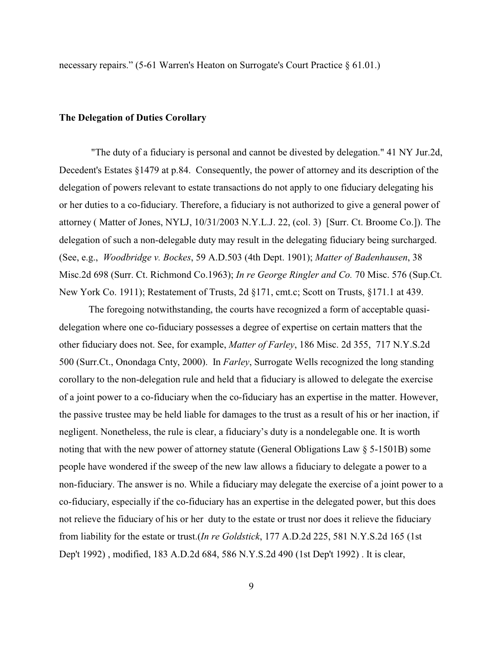necessary repairs." (5-61 Warren's Heaton on Surrogate's Court Practice § 61.01.)

#### **The Delegation of Duties Corollary**

 "The duty of a fiduciary is personal and cannot be divested by delegation." 41 NY Jur.2d, Decedent's Estates §1479 at p.84. Consequently, the power of attorney and its description of the delegation of powers relevant to estate transactions do not apply to one fiduciary delegating his or her duties to a co-fiduciary. Therefore, a fiduciary is not authorized to give a general power of attorney ( Matter of Jones, NYLJ, 10/31/2003 N.Y.L.J. 22, (col. 3) [Surr. Ct. Broome Co.]). The delegation of such a non-delegable duty may result in the delegating fiduciary being surcharged. (See, e.g., *Woodbridge v. Bockes*, 59 A.D.503 (4th Dept. 1901); *Matter of Badenhausen*, 38 Misc.2d 698 (Surr. Ct. Richmond Co.1963); *In re George Ringler and Co.* 70 Misc. 576 (Sup.Ct. New York Co. 1911); Restatement of Trusts, 2d §171, cmt.c; Scott on Trusts, §171.1 at 439.

The foregoing notwithstanding, the courts have recognized a form of acceptable quasidelegation where one co-fiduciary possesses a degree of expertise on certain matters that the other fiduciary does not. See, for example, *Matter of Farley*, 186 Misc. 2d 355, 717 N.Y.S.2d 500 (Surr.Ct., Onondaga Cnty, 2000). In *Farley*, Surrogate Wells recognized the long standing corollary to the non-delegation rule and held that a fiduciary is allowed to delegate the exercise of a joint power to a co-fiduciary when the co-fiduciary has an expertise in the matter. However, the passive trustee may be held liable for damages to the trust as a result of his or her inaction, if negligent. Nonetheless, the rule is clear, a fiduciary's duty is a nondelegable one. It is worth noting that with the new power of attorney statute (General Obligations Law § 5-1501B) some people have wondered if the sweep of the new law allows a fiduciary to delegate a power to a non-fiduciary. The answer is no. While a fiduciary may delegate the exercise of a joint power to a co-fiduciary, especially if the co-fiduciary has an expertise in the delegated power, but this does not relieve the fiduciary of his or her duty to the estate or trust nor does it relieve the fiduciary from liability for the estate or trust.(*In re Goldstick*, 177 A.D.2d 225, 581 N.Y.S.2d 165 (1st Dep't 1992) , modified, 183 A.D.2d 684, 586 N.Y.S.2d 490 (1st Dep't 1992) . It is clear,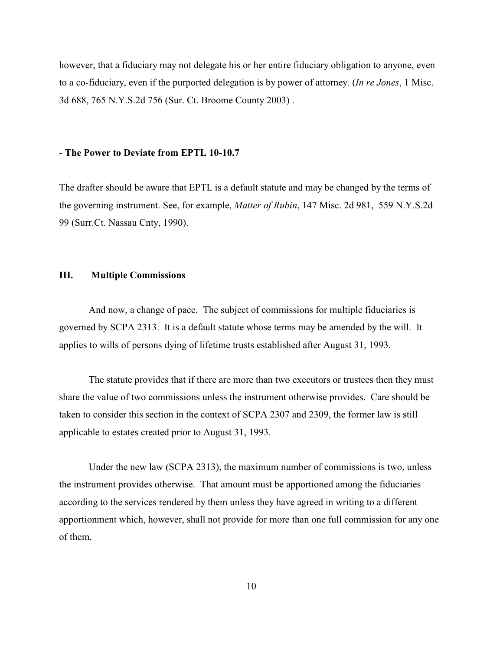however, that a fiduciary may not delegate his or her entire fiduciary obligation to anyone, even to a co-fiduciary, even if the purported delegation is by power of attorney. (*In re Jones*, 1 Misc. 3d 688, 765 N.Y.S.2d 756 (Sur. Ct. Broome County 2003) .

#### - **The Power to Deviate from EPTL 10-10.7**

The drafter should be aware that EPTL is a default statute and may be changed by the terms of the governing instrument. See, for example, *Matter of Rubin*, 147 Misc. 2d 981, 559 N.Y.S.2d 99 (Surr.Ct. Nassau Cnty, 1990).

### **III. Multiple Commissions**

And now, a change of pace. The subject of commissions for multiple fiduciaries is governed by SCPA 2313. It is a default statute whose terms may be amended by the will. It applies to wills of persons dying of lifetime trusts established after August 31, 1993.

The statute provides that if there are more than two executors or trustees then they must share the value of two commissions unless the instrument otherwise provides. Care should be taken to consider this section in the context of SCPA 2307 and 2309, the former law is still applicable to estates created prior to August 31, 1993.

Under the new law (SCPA 2313), the maximum number of commissions is two, unless the instrument provides otherwise. That amount must be apportioned among the fiduciaries according to the services rendered by them unless they have agreed in writing to a different apportionment which, however, shall not provide for more than one full commission for any one of them.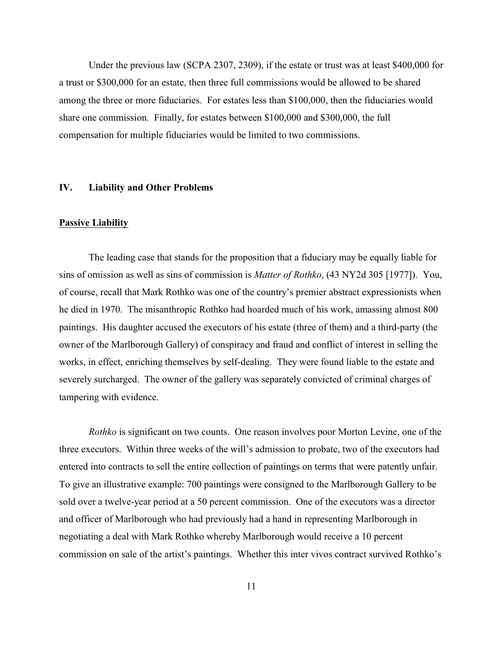Under the previous law (SCPA 2307, 2309), if the estate or trust was at least \$400,000 for a trust or \$300,000 for an estate, then three full commissions would be allowed to be shared among the three or more fiduciaries. For estates less than \$100,000, then the fiduciaries would share one commission. Finally, for estates between \$100,000 and \$300,000, the full compensation for multiple fiduciaries would be limited to two commissions.

## **IV. Liability and Other Problems**

#### **Passive Liability**

The leading case that stands for the proposition that a fiduciary may be equally liable for sins of omission as well as sins of commission is *Matter of Rothko*, (43 NY2d 305 [1977]). You, of course, recall that Mark Rothko was one of the country's premier abstract expressionists when he died in 1970. The misanthropic Rothko had hoarded much of his work, amassing almost 800 paintings. His daughter accused the executors of his estate (three of them) and a third-party (the owner of the Marlborough Gallery) of conspiracy and fraud and conflict of interest in selling the works, in effect, enriching themselves by self-dealing. They were found liable to the estate and severely surcharged. The owner of the gallery was separately convicted of criminal charges of tampering with evidence.

*Rothko* is significant on two counts. One reason involves poor Morton Levine, one of the three executors. Within three weeks of the will's admission to probate, two of the executors had entered into contracts to sell the entire collection of paintings on terms that were patently unfair. To give an illustrative example: 700 paintings were consigned to the Marlborough Gallery to be sold over a twelve-year period at a 50 percent commission. One of the executors was a director and officer of Marlborough who had previously had a hand in representing Marlborough in negotiating a deal with Mark Rothko whereby Marlborough would receive a 10 percent commission on sale of the artist's paintings. Whether this inter vivos contract survived Rothko's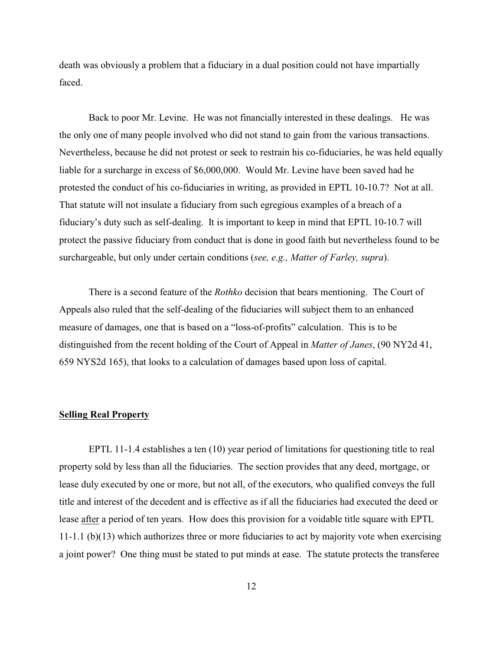death was obviously a problem that a fiduciary in a dual position could not have impartially faced.

Back to poor Mr. Levine. He was not financially interested in these dealings. He was the only one of many people involved who did not stand to gain from the various transactions. Nevertheless, because he did not protest or seek to restrain his co-fiduciaries, he was held equally liable for a surcharge in excess of \$6,000,000. Would Mr. Levine have been saved had he protested the conduct of his co-fiduciaries in writing, as provided in EPTL 10-10.7? Not at all. That statute will not insulate a fiduciary from such egregious examples of a breach of a fiduciary's duty such as self-dealing. It is important to keep in mind that EPTL 10-10.7 will protect the passive fiduciary from conduct that is done in good faith but nevertheless found to be surchargeable, but only under certain conditions (*see, e.g., Matter of Farley, supra*).

There is a second feature of the *Rothko* decision that bears mentioning. The Court of Appeals also ruled that the self-dealing of the fiduciaries will subject them to an enhanced measure of damages, one that is based on a "loss-of-profits" calculation. This is to be distinguished from the recent holding of the Court of Appeal in *Matter of Janes*, (90 NY2d 41, 659 NYS2d 165), that looks to a calculation of damages based upon loss of capital.

#### **Selling Real Property**

EPTL 11-1.4 establishes a ten (10) year period of limitations for questioning title to real property sold by less than all the fiduciaries. The section provides that any deed, mortgage, or lease duly executed by one or more, but not all, of the executors, who qualified conveys the full title and interest of the decedent and is effective as if all the fiduciaries had executed the deed or lease after a period of ten years. How does this provision for a voidable title square with EPTL 11-1.1 (b)(13) which authorizes three or more fiduciaries to act by majority vote when exercising a joint power? One thing must be stated to put minds at ease. The statute protects the transferee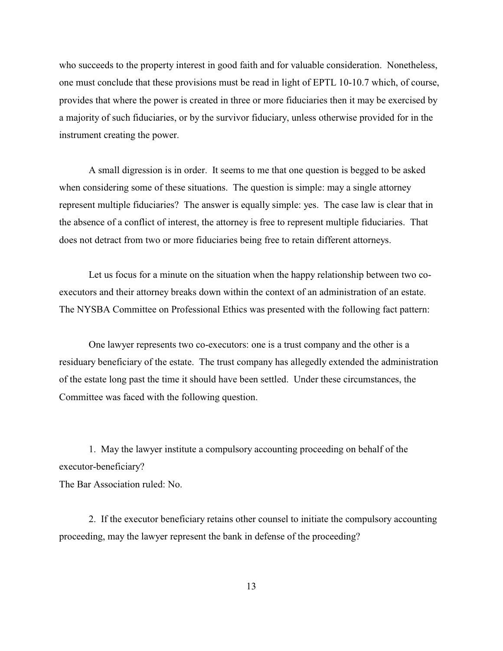who succeeds to the property interest in good faith and for valuable consideration. Nonetheless, one must conclude that these provisions must be read in light of EPTL 10-10.7 which, of course, provides that where the power is created in three or more fiduciaries then it may be exercised by a majority of such fiduciaries, or by the survivor fiduciary, unless otherwise provided for in the instrument creating the power.

A small digression is in order. It seems to me that one question is begged to be asked when considering some of these situations. The question is simple: may a single attorney represent multiple fiduciaries? The answer is equally simple: yes. The case law is clear that in the absence of a conflict of interest, the attorney is free to represent multiple fiduciaries. That does not detract from two or more fiduciaries being free to retain different attorneys.

Let us focus for a minute on the situation when the happy relationship between two coexecutors and their attorney breaks down within the context of an administration of an estate. The NYSBA Committee on Professional Ethics was presented with the following fact pattern:

One lawyer represents two co-executors: one is a trust company and the other is a residuary beneficiary of the estate. The trust company has allegedly extended the administration of the estate long past the time it should have been settled. Under these circumstances, the Committee was faced with the following question.

1. May the lawyer institute a compulsory accounting proceeding on behalf of the executor-beneficiary?

The Bar Association ruled: No.

2. If the executor beneficiary retains other counsel to initiate the compulsory accounting proceeding, may the lawyer represent the bank in defense of the proceeding?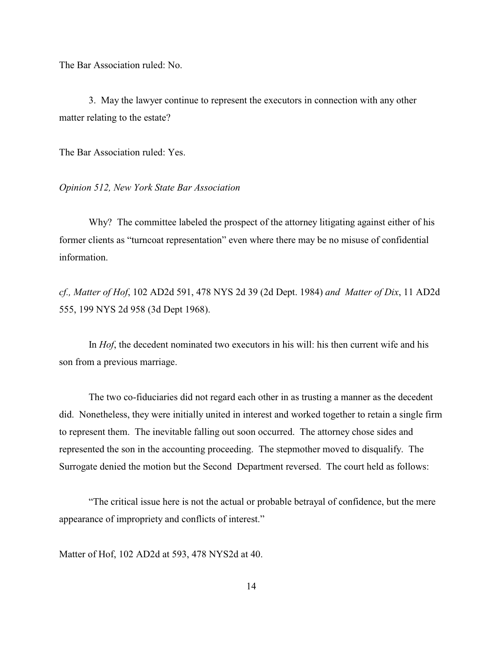The Bar Association ruled: No.

3. May the lawyer continue to represent the executors in connection with any other matter relating to the estate?

The Bar Association ruled: Yes.

*Opinion 512, New York State Bar Association*

Why? The committee labeled the prospect of the attorney litigating against either of his former clients as "turncoat representation" even where there may be no misuse of confidential information.

*cf., Matter of Hof*, 102 AD2d 591, 478 NYS 2d 39 (2d Dept. 1984) *and Matter of Dix*, 11 AD2d 555, 199 NYS 2d 958 (3d Dept 1968).

In *Hof*, the decedent nominated two executors in his will: his then current wife and his son from a previous marriage.

The two co-fiduciaries did not regard each other in as trusting a manner as the decedent did. Nonetheless, they were initially united in interest and worked together to retain a single firm to represent them. The inevitable falling out soon occurred. The attorney chose sides and represented the son in the accounting proceeding. The stepmother moved to disqualify. The Surrogate denied the motion but the Second Department reversed. The court held as follows:

"The critical issue here is not the actual or probable betrayal of confidence, but the mere appearance of impropriety and conflicts of interest."

Matter of Hof, 102 AD2d at 593, 478 NYS2d at 40.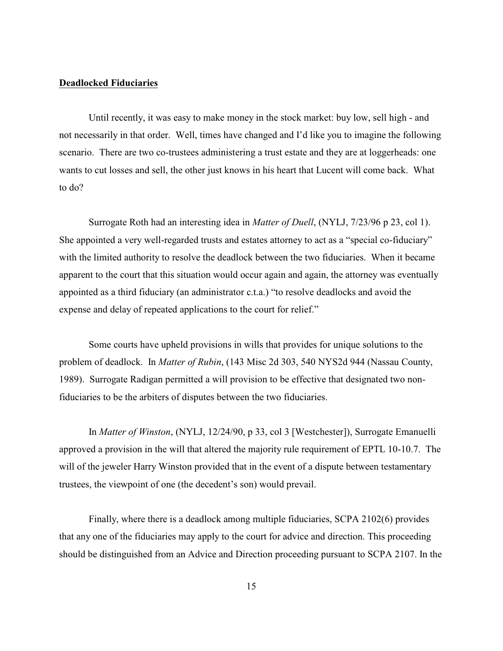### **Deadlocked Fiduciaries**

Until recently, it was easy to make money in the stock market: buy low, sell high - and not necessarily in that order. Well, times have changed and I'd like you to imagine the following scenario. There are two co-trustees administering a trust estate and they are at loggerheads: one wants to cut losses and sell, the other just knows in his heart that Lucent will come back. What to do?

Surrogate Roth had an interesting idea in *Matter of Duell*, (NYLJ, 7/23/96 p 23, col 1). She appointed a very well-regarded trusts and estates attorney to act as a "special co-fiduciary" with the limited authority to resolve the deadlock between the two fiduciaries. When it became apparent to the court that this situation would occur again and again, the attorney was eventually appointed as a third fiduciary (an administrator c.t.a.) "to resolve deadlocks and avoid the expense and delay of repeated applications to the court for relief."

Some courts have upheld provisions in wills that provides for unique solutions to the problem of deadlock. In *Matter of Rubin*, (143 Misc 2d 303, 540 NYS2d 944 (Nassau County, 1989). Surrogate Radigan permitted a will provision to be effective that designated two nonfiduciaries to be the arbiters of disputes between the two fiduciaries.

In *Matter of Winston*, (NYLJ, 12/24/90, p 33, col 3 [Westchester]), Surrogate Emanuelli approved a provision in the will that altered the majority rule requirement of EPTL 10-10.7. The will of the jeweler Harry Winston provided that in the event of a dispute between testamentary trustees, the viewpoint of one (the decedent's son) would prevail.

Finally, where there is a deadlock among multiple fiduciaries, SCPA 2102(6) provides that any one of the fiduciaries may apply to the court for advice and direction. This proceeding should be distinguished from an Advice and Direction proceeding pursuant to SCPA 2107. In the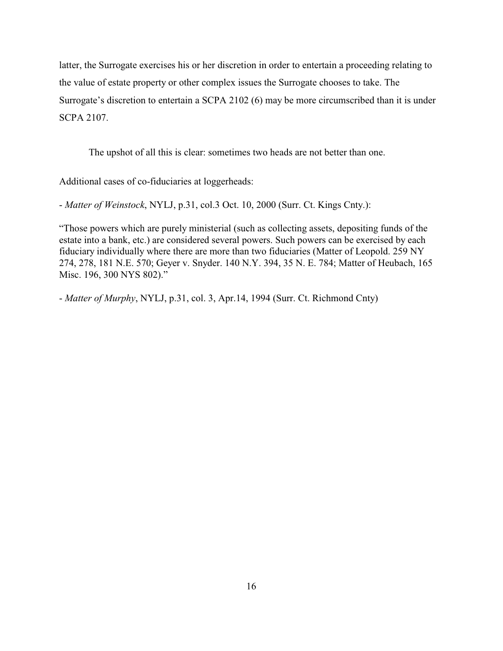latter, the Surrogate exercises his or her discretion in order to entertain a proceeding relating to the value of estate property or other complex issues the Surrogate chooses to take. The Surrogate's discretion to entertain a SCPA 2102 (6) may be more circumscribed than it is under SCPA 2107.

The upshot of all this is clear: sometimes two heads are not better than one.

Additional cases of co-fiduciaries at loggerheads:

- *Matter of Weinstock*, NYLJ, p.31, col.3 Oct. 10, 2000 (Surr. Ct. Kings Cnty.):

"Those powers which are purely ministerial (such as collecting assets, depositing funds of the estate into a bank, etc.) are considered several powers. Such powers can be exercised by each fiduciary individually where there are more than two fiduciaries (Matter of Leopold. 259 NY 274, 278, 181 N.E. 570; Geyer v. Snyder. 140 N.Y. 394, 35 N. E. 784; Matter of Heubach, 165 Misc. 196, 300 NYS 802)."

- *Matter of Murphy*, NYLJ, p.31, col. 3, Apr.14, 1994 (Surr. Ct. Richmond Cnty)